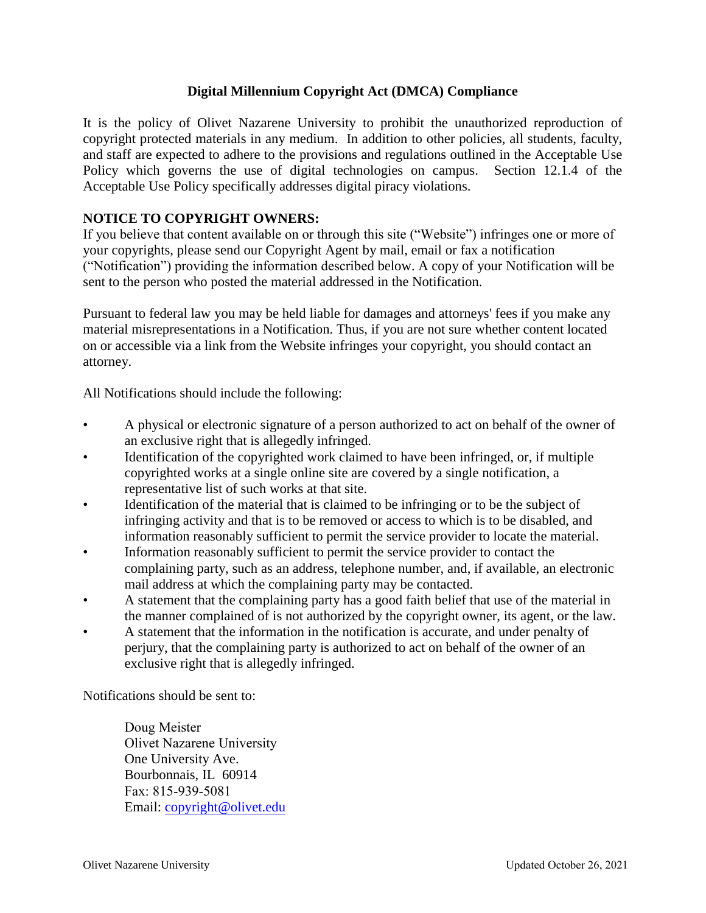## **Digital Millennium Copyright Act (DMCA) Compliance**

It is the policy of Olivet Nazarene University to prohibit the unauthorized reproduction of copyright protected materials in any medium. In addition to other policies, all students, faculty, and staff are expected to adhere to the provisions and regulations outlined in the Acceptable Use Policy which governs the use of digital technologies on campus. Section 12.1.4 of the Acceptable Use Policy specifically addresses digital piracy violations.

## **NOTICE TO COPYRIGHT OWNERS:**

If you believe that content available on or through this site ("Website") infringes one or more of your copyrights, please send our Copyright Agent by mail, email or fax a notification ("Notification") providing the information described below. A copy of your Notification will be sent to the person who posted the material addressed in the Notification.

Pursuant to federal law you may be held liable for damages and attorneys' fees if you make any material misrepresentations in a Notification. Thus, if you are not sure whether content located on or accessible via a link from the Website infringes your copyright, you should contact an attorney.

All Notifications should include the following:

- A physical or electronic signature of a person authorized to act on behalf of the owner of an exclusive right that is allegedly infringed.
- Identification of the copyrighted work claimed to have been infringed, or, if multiple copyrighted works at a single online site are covered by a single notification, a representative list of such works at that site.
- Identification of the material that is claimed to be infringing or to be the subject of infringing activity and that is to be removed or access to which is to be disabled, and information reasonably sufficient to permit the service provider to locate the material.
- Information reasonably sufficient to permit the service provider to contact the complaining party, such as an address, telephone number, and, if available, an electronic mail address at which the complaining party may be contacted.
- A statement that the complaining party has a good faith belief that use of the material in the manner complained of is not authorized by the copyright owner, its agent, or the law.
- A statement that the information in the notification is accurate, and under penalty of perjury, that the complaining party is authorized to act on behalf of the owner of an exclusive right that is allegedly infringed.

Notifications should be sent to:

Doug Meister Olivet Nazarene University One University Ave. Bourbonnais, IL 60914 Fax: 8[15-939-5081](mailto:copyright@olivet.edu) Email: copyright@olivet.edu